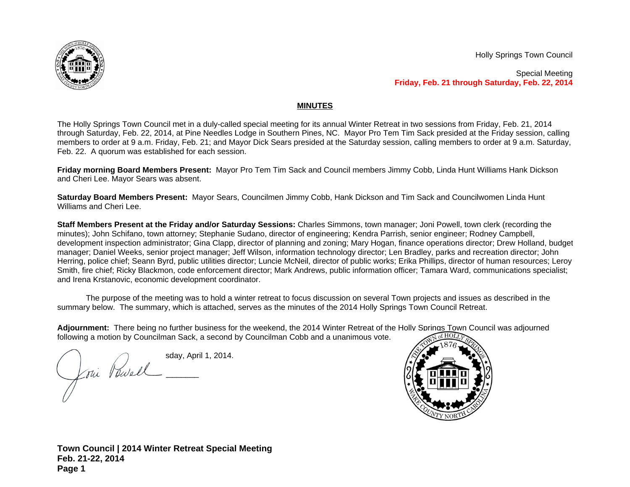

Holly Springs Town Council

Special Meeting **Friday, Feb. 21 through Saturday, Feb. 22, 2014**

## **MINUTES**

The Holly Springs Town Council met in a duly-called special meeting for its annual Winter Retreat in two sessions from Friday, Feb. 21, 2014 through Saturday, Feb. 22, 2014, at Pine Needles Lodge in Southern Pines, NC. Mayor Pro Tem Tim Sack presided at the Friday session, calling members to order at 9 a.m. Friday, Feb. 21; and Mayor Dick Sears presided at the Saturday session, calling members to order at 9 a.m. Saturday, Feb. 22. A quorum was established for each session.

**Friday morning Board Members Present:** Mayor Pro Tem Tim Sack and Council members Jimmy Cobb, Linda Hunt Williams Hank Dickson and Cheri Lee. Mayor Sears was absent.

**Saturday Board Members Present:** Mayor Sears, Councilmen Jimmy Cobb, Hank Dickson and Tim Sack and Councilwomen Linda Hunt Williams and Cheri Lee.

**Staff Members Present at the Friday and/or Saturday Sessions:** Charles Simmons, town manager; Joni Powell, town clerk (recording the minutes); John Schifano, town attorney; Stephanie Sudano, director of engineering; Kendra Parrish, senior engineer; Rodney Campbell, development inspection administrator; Gina Clapp, director of planning and zoning; Mary Hogan, finance operations director; Drew Holland, budget manager; Daniel Weeks, senior project manager; Jeff Wilson, information technology director; Len Bradley, parks and recreation director; John Herring, police chief; Seann Byrd, public utilities director; Luncie McNeil, director of public works; Erika Phillips, director of human resources; Leroy Smith, fire chief; Ricky Blackmon, code enforcement director; Mark Andrews, public information officer; Tamara Ward, communications specialist; and Irena Krstanovic, economic development coordinator.

The purpose of the meeting was to hold a winter retreat to focus discussion on several Town projects and issues as described in the summary below. The summary, which is attached, serves as the minutes of the 2014 Holly Springs Town Council Retreat.

**Adjournment:** There being no further business for the weekend, the 2014 Winter Retreat of the Holly Springs Town Council was adjourned following a motion by Councilman Sack, a second by Councilman Cobb and a unanimous vote.

 $\bigcap$  sday, April 1, 2014. \_\_\_\_\_\_\_\_\_\_\_\_\_\_\_\_\_\_\_\_\_\_\_\_\_\_\_\_\_\_\_\_  $\overline{\Lambda}$  $\sqrt{2}$ 



**Town Council | 2014 Winter Retreat Special Meeting Feb. 21-22, 2014 Page 1**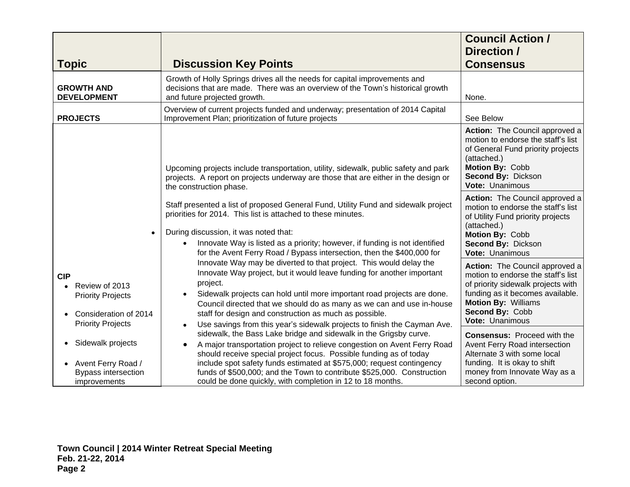| <b>Topic</b>                                                                                                  | <b>Discussion Key Points</b>                                                                                                                                                                                                                                                                                                                                                                                                                                                                                                         | <b>Council Action /</b><br>Direction /<br><b>Consensus</b>                                                                                                                                                                                                                                                                                                                                          |
|---------------------------------------------------------------------------------------------------------------|--------------------------------------------------------------------------------------------------------------------------------------------------------------------------------------------------------------------------------------------------------------------------------------------------------------------------------------------------------------------------------------------------------------------------------------------------------------------------------------------------------------------------------------|-----------------------------------------------------------------------------------------------------------------------------------------------------------------------------------------------------------------------------------------------------------------------------------------------------------------------------------------------------------------------------------------------------|
| <b>GROWTH AND</b><br><b>DEVELOPMENT</b>                                                                       | Growth of Holly Springs drives all the needs for capital improvements and<br>decisions that are made. There was an overview of the Town's historical growth<br>and future projected growth.                                                                                                                                                                                                                                                                                                                                          | None.                                                                                                                                                                                                                                                                                                                                                                                               |
| <b>PROJECTS</b>                                                                                               | Overview of current projects funded and underway; presentation of 2014 Capital<br>Improvement Plan; prioritization of future projects                                                                                                                                                                                                                                                                                                                                                                                                | See Below                                                                                                                                                                                                                                                                                                                                                                                           |
|                                                                                                               | Upcoming projects include transportation, utility, sidewalk, public safety and park<br>projects. A report on projects underway are those that are either in the design or<br>the construction phase.                                                                                                                                                                                                                                                                                                                                 | Action: The Council approved a<br>motion to endorse the staff's list<br>of General Fund priority projects<br>(attached.)<br>Motion By: Cobb<br>Second By: Dickson<br>Vote: Unanimous                                                                                                                                                                                                                |
|                                                                                                               | Staff presented a list of proposed General Fund, Utility Fund and sidewalk project<br>priorities for 2014. This list is attached to these minutes.<br>During discussion, it was noted that:<br>Innovate Way is listed as a priority; however, if funding is not identified<br>$\bullet$<br>for the Avent Ferry Road / Bypass intersection, then the \$400,000 for                                                                                                                                                                    | Action: The Council approved a<br>motion to endorse the staff's list<br>of Utility Fund priority projects<br>(attached.)<br>Motion By: Cobb<br>Second By: Dickson<br>Vote: Unanimous                                                                                                                                                                                                                |
| <b>CIP</b><br>Review of 2013<br><b>Priority Projects</b><br>Consideration of 2014<br><b>Priority Projects</b> | Innovate Way may be diverted to that project. This would delay the<br>Innovate Way project, but it would leave funding for another important<br>project.<br>Sidewalk projects can hold until more important road projects are done.<br>$\bullet$<br>Council directed that we should do as many as we can and use in-house<br>staff for design and construction as much as possible.<br>Use savings from this year's sidewalk projects to finish the Cayman Ave.<br>sidewalk, the Bass Lake bridge and sidewalk in the Grigsby curve. | Action: The Council approved a<br>motion to endorse the staff's list<br>of priority sidewalk projects with<br>funding as it becomes available.<br>Motion By: Williams<br>Second By: Cobb<br>Vote: Unanimous<br><b>Consensus: Proceed with the</b><br>Avent Ferry Road intersection<br>Alternate 3 with some local<br>funding. It is okay to shift<br>money from Innovate Way as a<br>second option. |
| Sidewalk projects<br>Avent Ferry Road /<br><b>Bypass intersection</b><br>improvements                         | A major transportation project to relieve congestion on Avent Ferry Road<br>$\bullet$<br>should receive special project focus. Possible funding as of today<br>include spot safety funds estimated at \$575,000; request contingency<br>funds of \$500,000; and the Town to contribute \$525,000. Construction<br>could be done quickly, with completion in 12 to 18 months.                                                                                                                                                         |                                                                                                                                                                                                                                                                                                                                                                                                     |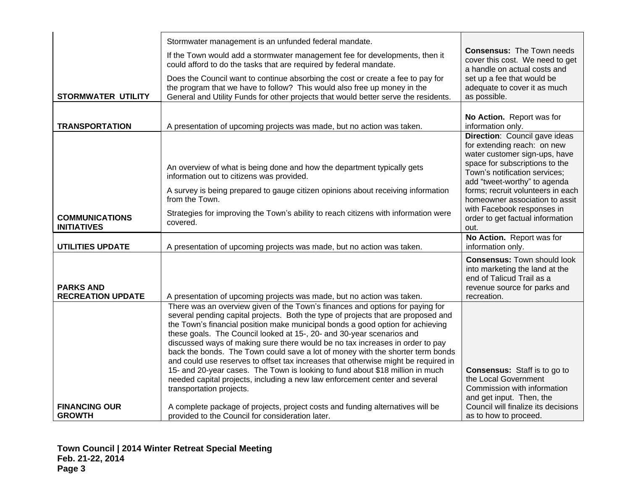|                                              | Stormwater management is an unfunded federal mandate.                                                                                                                                                                                                                                                                                                                                                                                                                                                                                                                                                                                                                                                                                                                              |                                                                                                                                                                                                                                                                                                       |
|----------------------------------------------|------------------------------------------------------------------------------------------------------------------------------------------------------------------------------------------------------------------------------------------------------------------------------------------------------------------------------------------------------------------------------------------------------------------------------------------------------------------------------------------------------------------------------------------------------------------------------------------------------------------------------------------------------------------------------------------------------------------------------------------------------------------------------------|-------------------------------------------------------------------------------------------------------------------------------------------------------------------------------------------------------------------------------------------------------------------------------------------------------|
|                                              | If the Town would add a stormwater management fee for developments, then it<br>could afford to do the tasks that are required by federal mandate.                                                                                                                                                                                                                                                                                                                                                                                                                                                                                                                                                                                                                                  | <b>Consensus: The Town needs</b><br>cover this cost. We need to get<br>a handle on actual costs and                                                                                                                                                                                                   |
| <b>STORMWATER UTILITY</b>                    | Does the Council want to continue absorbing the cost or create a fee to pay for<br>the program that we have to follow? This would also free up money in the<br>General and Utility Funds for other projects that would better serve the residents.                                                                                                                                                                                                                                                                                                                                                                                                                                                                                                                                 | set up a fee that would be<br>adequate to cover it as much<br>as possible.                                                                                                                                                                                                                            |
|                                              |                                                                                                                                                                                                                                                                                                                                                                                                                                                                                                                                                                                                                                                                                                                                                                                    |                                                                                                                                                                                                                                                                                                       |
| <b>TRANSPORTATION</b>                        | A presentation of upcoming projects was made, but no action was taken.                                                                                                                                                                                                                                                                                                                                                                                                                                                                                                                                                                                                                                                                                                             | No Action. Report was for<br>information only.                                                                                                                                                                                                                                                        |
|                                              | An overview of what is being done and how the department typically gets<br>information out to citizens was provided.<br>A survey is being prepared to gauge citizen opinions about receiving information<br>from the Town.                                                                                                                                                                                                                                                                                                                                                                                                                                                                                                                                                         | Direction: Council gave ideas<br>for extending reach: on new<br>water customer sign-ups, have<br>space for subscriptions to the<br>Town's notification services;<br>add "tweet-worthy" to agenda<br>forms; recruit volunteers in each<br>homeowner association to assit<br>with Facebook responses in |
| <b>COMMUNICATIONS</b><br><b>INITIATIVES</b>  | Strategies for improving the Town's ability to reach citizens with information were<br>covered.                                                                                                                                                                                                                                                                                                                                                                                                                                                                                                                                                                                                                                                                                    | order to get factual information<br>out.                                                                                                                                                                                                                                                              |
| <b>UTILITIES UPDATE</b>                      | A presentation of upcoming projects was made, but no action was taken.                                                                                                                                                                                                                                                                                                                                                                                                                                                                                                                                                                                                                                                                                                             | No Action. Report was for<br>information only.                                                                                                                                                                                                                                                        |
| <b>PARKS AND</b><br><b>RECREATION UPDATE</b> | A presentation of upcoming projects was made, but no action was taken.                                                                                                                                                                                                                                                                                                                                                                                                                                                                                                                                                                                                                                                                                                             | <b>Consensus: Town should look</b><br>into marketing the land at the<br>end of Talicud Trail as a<br>revenue source for parks and<br>recreation.                                                                                                                                                      |
|                                              | There was an overview given of the Town's finances and options for paying for<br>several pending capital projects. Both the type of projects that are proposed and<br>the Town's financial position make municipal bonds a good option for achieving<br>these goals. The Council looked at 15-, 20- and 30-year scenarios and<br>discussed ways of making sure there would be no tax increases in order to pay<br>back the bonds. The Town could save a lot of money with the shorter term bonds<br>and could use reserves to offset tax increases that otherwise might be required in<br>15- and 20-year cases. The Town is looking to fund about \$18 million in much<br>needed capital projects, including a new law enforcement center and several<br>transportation projects. | <b>Consensus:</b> Staff is to go to<br>the Local Government<br>Commission with information<br>and get input. Then, the                                                                                                                                                                                |
| <b>FINANCING OUR</b><br><b>GROWTH</b>        | A complete package of projects, project costs and funding alternatives will be<br>provided to the Council for consideration later.                                                                                                                                                                                                                                                                                                                                                                                                                                                                                                                                                                                                                                                 | Council will finalize its decisions<br>as to how to proceed.                                                                                                                                                                                                                                          |